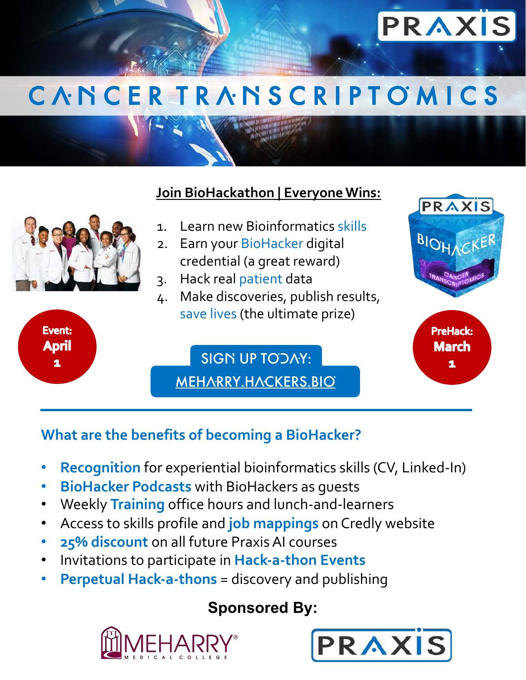

# C A N C E R T R A N S C R I P T O M I C S

#### **Join BioHackathon | Everyone Wins:**

- 1. Learn new Bioinformatics skills
- 2. Earn your BioHacker digital credential (a great reward)
- 3. Hack real patient data
- 4. Make discoveries, publish results, save lives (the ultimate prize)

MEHARRY.HACKERS.BIO SIGN UP TODAY:



## **What are the benefits of becoming a BioHacker?**

**Event:** 

**April** 

1

- **Recognition** for experiential bioinformatics skills (CV, Linked-In)
- **BioHacker Podcasts** with BioHackers as guests
- Weekly **Training** office hours and lunch-and-learners
- Access to skills profile and **job mappings** on Credly website
- **25% discount** on all future Praxis AI courses
- Invitations to participate in **Hack-a-thon Events**
- **Perpetual Hack-a-thons** = discovery and publishing

### **Sponsored By:**